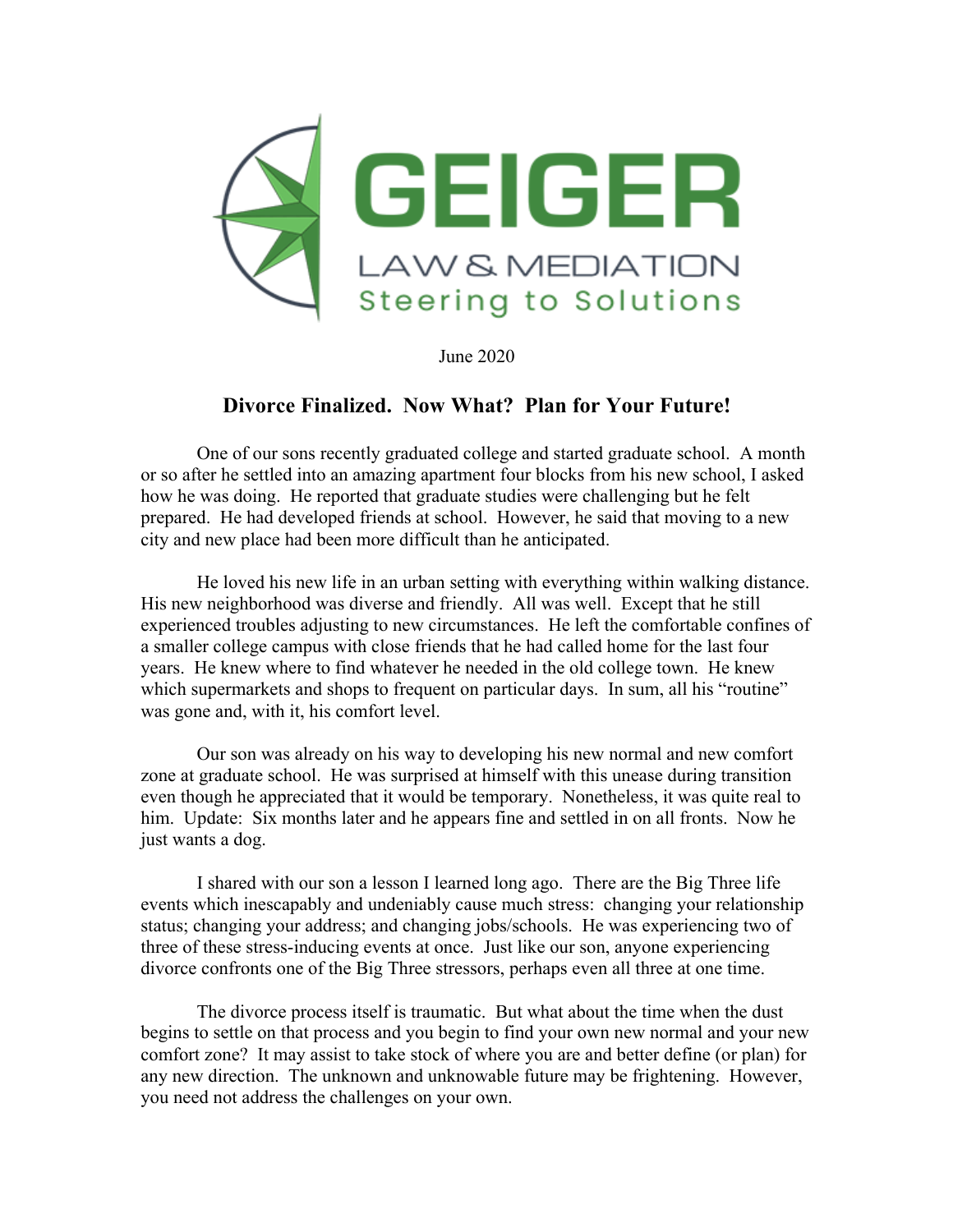

June 2020

## **Divorce Finalized. Now What? Plan for Your Future!**

One of our sons recently graduated college and started graduate school. A month or so after he settled into an amazing apartment four blocks from his new school, I asked how he was doing. He reported that graduate studies were challenging but he felt prepared. He had developed friends at school. However, he said that moving to a new city and new place had been more difficult than he anticipated.

He loved his new life in an urban setting with everything within walking distance. His new neighborhood was diverse and friendly. All was well. Except that he still experienced troubles adjusting to new circumstances. He left the comfortable confines of a smaller college campus with close friends that he had called home for the last four years. He knew where to find whatever he needed in the old college town. He knew which supermarkets and shops to frequent on particular days. In sum, all his "routine" was gone and, with it, his comfort level.

Our son was already on his way to developing his new normal and new comfort zone at graduate school. He was surprised at himself with this unease during transition even though he appreciated that it would be temporary. Nonetheless, it was quite real to him. Update: Six months later and he appears fine and settled in on all fronts. Now he just wants a dog.

I shared with our son a lesson I learned long ago. There are the Big Three life events which inescapably and undeniably cause much stress: changing your relationship status; changing your address; and changing jobs/schools. He was experiencing two of three of these stress-inducing events at once. Just like our son, anyone experiencing divorce confronts one of the Big Three stressors, perhaps even all three at one time.

The divorce process itself is traumatic. But what about the time when the dust begins to settle on that process and you begin to find your own new normal and your new comfort zone? It may assist to take stock of where you are and better define (or plan) for any new direction. The unknown and unknowable future may be frightening. However, you need not address the challenges on your own.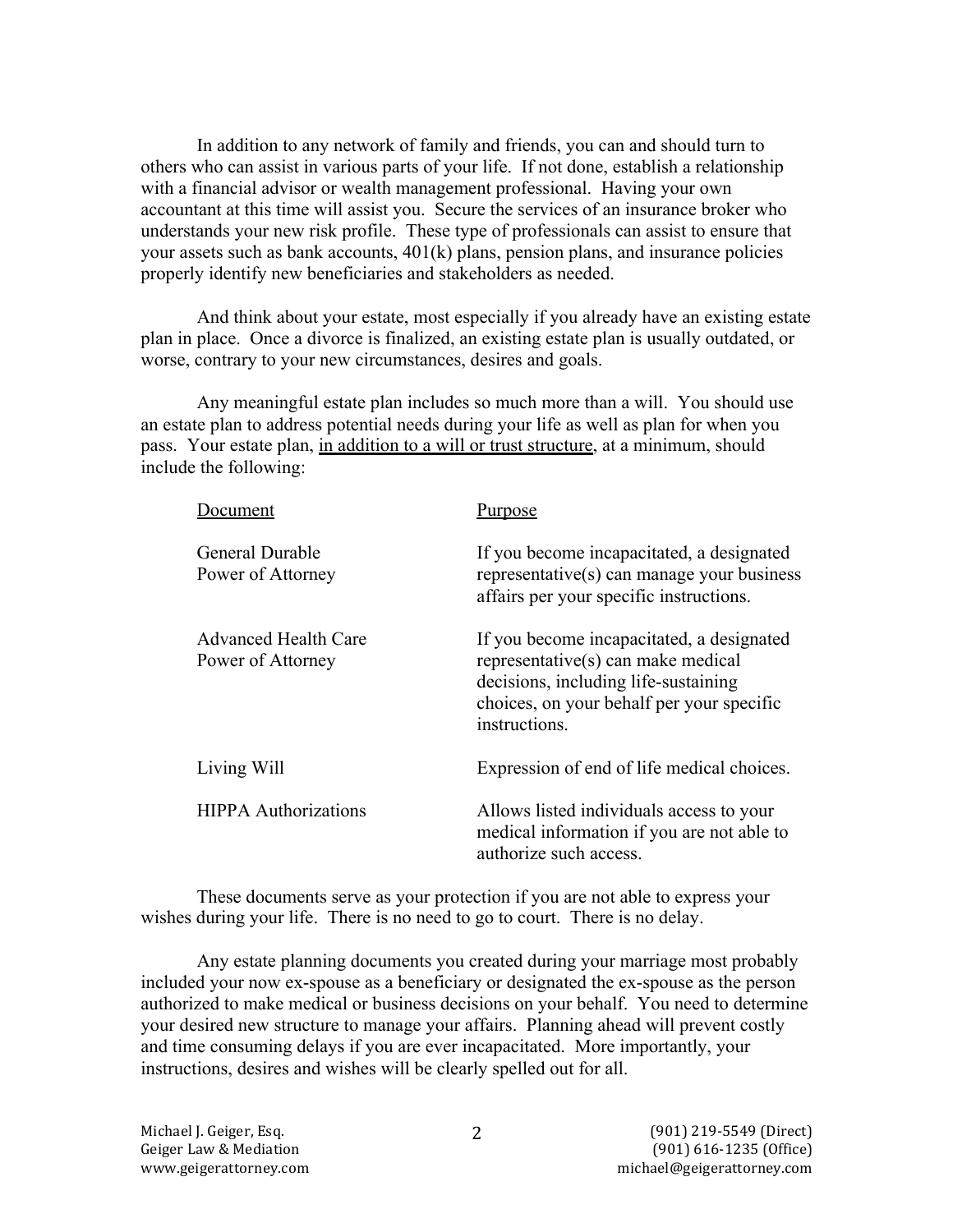In addition to any network of family and friends, you can and should turn to others who can assist in various parts of your life. If not done, establish a relationship with a financial advisor or wealth management professional. Having your own accountant at this time will assist you. Secure the services of an insurance broker who understands your new risk profile. These type of professionals can assist to ensure that your assets such as bank accounts, 401(k) plans, pension plans, and insurance policies properly identify new beneficiaries and stakeholders as needed.

And think about your estate, most especially if you already have an existing estate plan in place. Once a divorce is finalized, an existing estate plan is usually outdated, or worse, contrary to your new circumstances, desires and goals.

Any meaningful estate plan includes so much more than a will. You should use an estate plan to address potential needs during your life as well as plan for when you pass. Your estate plan, in addition to a will or trust structure, at a minimum, should include the following:

| <b>Document</b>                           | Purpose                                                                                                                                                                               |
|-------------------------------------------|---------------------------------------------------------------------------------------------------------------------------------------------------------------------------------------|
| General Durable<br>Power of Attorney      | If you become incapacitated, a designated<br>representative(s) can manage your business<br>affairs per your specific instructions.                                                    |
| Advanced Health Care<br>Power of Attorney | If you become incapacitated, a designated<br>representative(s) can make medical<br>decisions, including life-sustaining<br>choices, on your behalf per your specific<br>instructions. |
| Living Will                               | Expression of end of life medical choices.                                                                                                                                            |
| <b>HIPPA Authorizations</b>               | Allows listed individuals access to your<br>medical information if you are not able to<br>authorize such access.                                                                      |

These documents serve as your protection if you are not able to express your wishes during your life. There is no need to go to court. There is no delay.

Any estate planning documents you created during your marriage most probably included your now ex-spouse as a beneficiary or designated the ex-spouse as the person authorized to make medical or business decisions on your behalf. You need to determine your desired new structure to manage your affairs. Planning ahead will prevent costly and time consuming delays if you are ever incapacitated. More importantly, your instructions, desires and wishes will be clearly spelled out for all.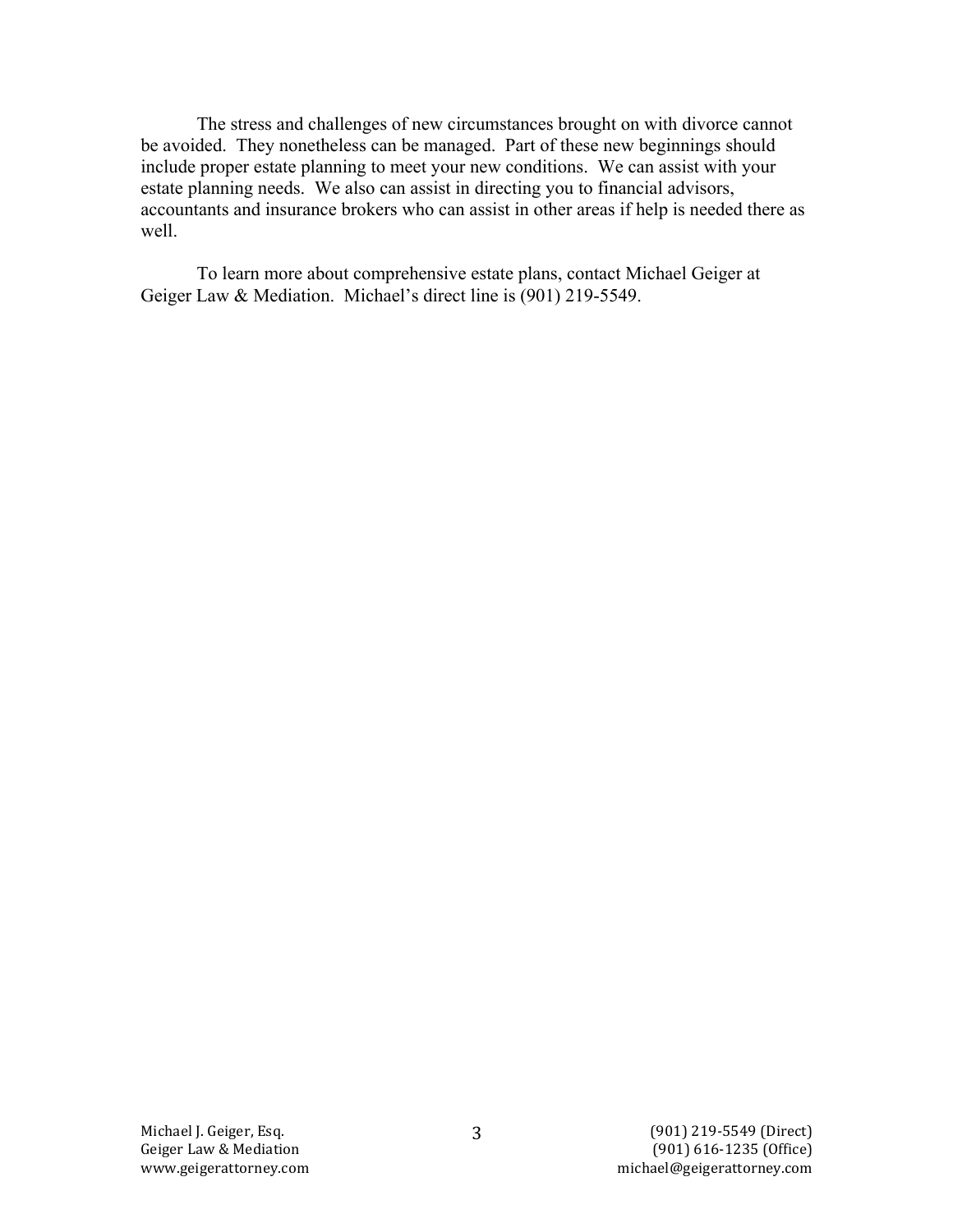The stress and challenges of new circumstances brought on with divorce cannot be avoided. They nonetheless can be managed. Part of these new beginnings should include proper estate planning to meet your new conditions. We can assist with your estate planning needs. We also can assist in directing you to financial advisors, accountants and insurance brokers who can assist in other areas if help is needed there as well

To learn more about comprehensive estate plans, contact Michael Geiger at Geiger Law & Mediation. Michael's direct line is (901) 219-5549.